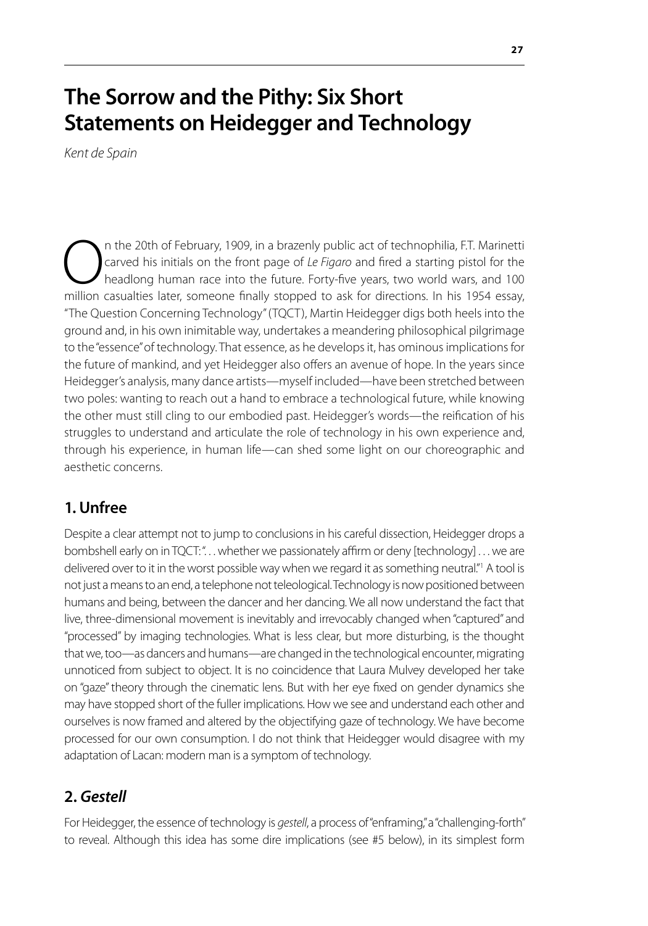# **The Sorrow and the Pithy: Six Short Statements on Heidegger and Technology**

*Kent de Spain*

On the 20th of February, 1909, in a brazenly public act of technophilia, F.T. Marinetti<br>Carved his initials on the front page of Le Figaro and fired a starting pistol for the<br>headlong human race into the future. Forty-five carved his initials on the front page of *Le Figaro* and fired a starting pistol for the headlong human race into the future. Forty-five years, two world wars, and 100 million casualties later, someone finally stopped to ask for directions. In his 1954 essay, "The Question Concerning Technology" (TQCT), Martin Heidegger digs both heels into the ground and, in his own inimitable way, undertakes a meandering philosophical pilgrimage to the "essence" of technology. That essence, as he develops it, has ominous implications for the future of mankind, and yet Heidegger also offers an avenue of hope. In the years since Heidegger's analysis, many dance artists—myself included—have been stretched between two poles: wanting to reach out a hand to embrace a technological future, while knowing the other must still cling to our embodied past. Heidegger's words—the reification of his struggles to understand and articulate the role of technology in his own experience and, through his experience, in human life—can shed some light on our choreographic and aesthetic concerns.

### **1. Unfree**

Despite a clear attempt not to jump to conclusions in his careful dissection, Heidegger drops a bombshell early on in TQCT:"... whether we passionately affirm or deny [technology] ... we are delivered over to it in the worst possible way when we regard it as something neutral."<sup>1</sup> A tool is not just a means to an end, a telephone not teleological. Technology is now positioned between humans and being, between the dancer and her dancing. We all now understand the fact that live, three-dimensional movement is inevitably and irrevocably changed when "captured" and "processed" by imaging technologies. What is less clear, but more disturbing, is the thought that we, too—as dancers and humans—are changed in the technological encounter, migrating unnoticed from subject to object. It is no coincidence that Laura Mulvey developed her take on "gaze" theory through the cinematic lens. But with her eye fixed on gender dynamics she may have stopped short of the fuller implications. How we see and understand each other and ourselves is now framed and altered by the objectifying gaze of technology. We have become processed for our own consumption. I do not think that Heidegger would disagree with my adaptation of Lacan: modern man is a symptom of technology.

## **2.** *Gestell*

For Heidegger, the essence of technology is *gestell*, a process of "enframing," a "challenging-forth" to reveal. Although this idea has some dire implications (see #5 below), in its simplest form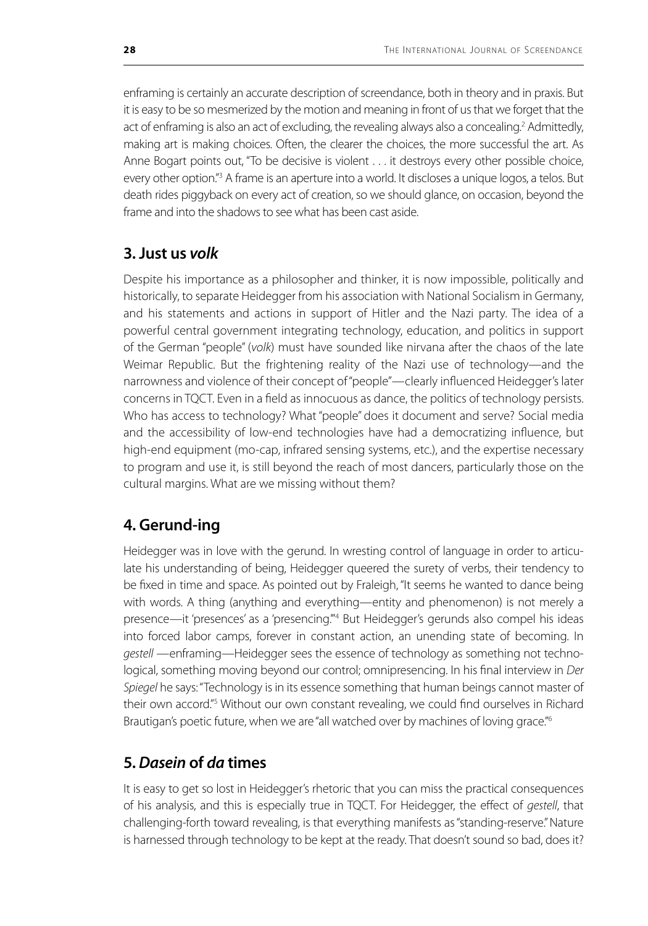enframing is certainly an accurate description of screendance, both in theory and in praxis. But it is easy to be so mesmerized by the motion and meaning in front of us that we forget that the act of enframing is also an act of excluding, the revealing always also a concealing.<sup>2</sup> Admittedly, making art is making choices. Often, the clearer the choices, the more successful the art. As Anne Bogart points out, "To be decisive is violent . . . it destroys every other possible choice, every other option."<sup>3</sup> A frame is an aperture into a world. It discloses a unique logos, a telos. But death rides piggyback on every act of creation, so we should glance, on occasion, beyond the frame and into the shadows to see what has been cast aside.

#### **3. Just us** *volk*

Despite his importance as a philosopher and thinker, it is now impossible, politically and historically, to separate Heidegger from his association with National Socialism in Germany, and his statements and actions in support of Hitler and the Nazi party. The idea of a powerful central government integrating technology, education, and politics in support of the German "people" (*volk*) must have sounded like nirvana after the chaos of the late Weimar Republic. But the frightening reality of the Nazi use of technology—and the narrowness and violence of their concept of "people"—clearly influenced Heidegger's later concerns in TQCT. Even in a field as innocuous as dance, the politics of technology persists. Who has access to technology? What "people" does it document and serve? Social media and the accessibility of low-end technologies have had a democratizing influence, but high-end equipment (mo-cap, infrared sensing systems, etc.), and the expertise necessary to program and use it, is still beyond the reach of most dancers, particularly those on the cultural margins. What are we missing without them?

#### **4. Gerund-ing**

Heidegger was in love with the gerund. In wresting control of language in order to articulate his understanding of being, Heidegger queered the surety of verbs, their tendency to be fixed in time and space. As pointed out by Fraleigh, "It seems he wanted to dance being with words. A thing (anything and everything—entity and phenomenon) is not merely a presence—it 'presences' as a 'presencing.'"4 But Heidegger's gerunds also compel his ideas into forced labor camps, forever in constant action, an unending state of becoming. In *gestell* —enframing—Heidegger sees the essence of technology as something not technological, something moving beyond our control; omnipresencing. In his final interview in *Der Spiegel* he says: "Technology is in its essence something that human beings cannot master of their own accord."<sup>5</sup> Without our own constant revealing, we could find ourselves in Richard Brautigan's poetic future, when we are "all watched over by machines of loving grace."<sup>6</sup>

#### **5.** *Dasein* **of** *da* **times**

It is easy to get so lost in Heidegger's rhetoric that you can miss the practical consequences of his analysis, and this is especially true in TQCT. For Heidegger, the effect of *gestell*, that challenging-forth toward revealing, is that everything manifests as "standing-reserve." Nature is harnessed through technology to be kept at the ready. That doesn't sound so bad, does it?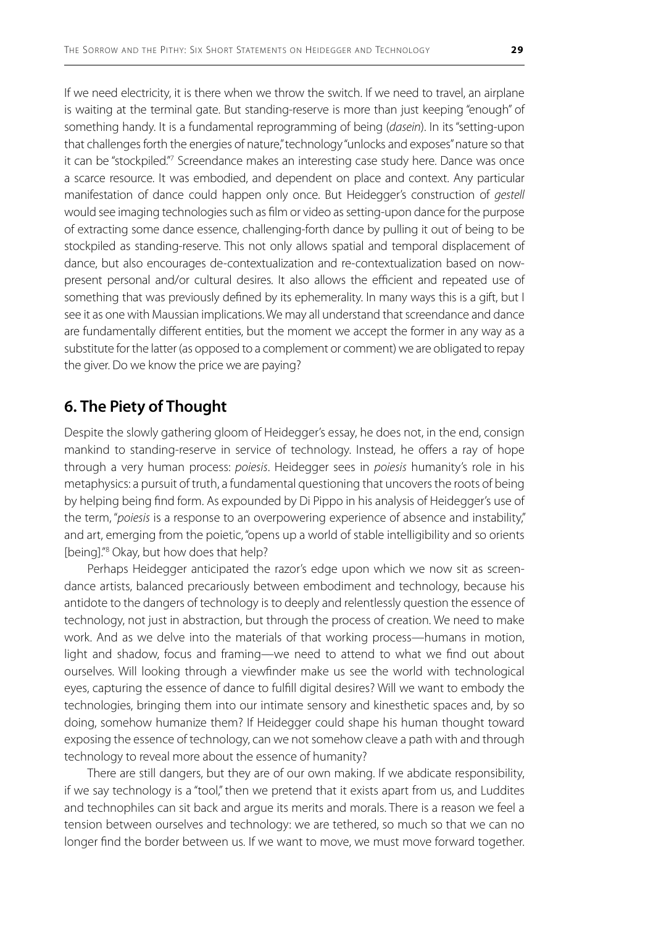If we need electricity, it is there when we throw the switch. If we need to travel, an airplane is waiting at the terminal gate. But standing-reserve is more than just keeping "enough" of something handy. It is a fundamental reprogramming of being (*dasein*). In its "setting-upon that challenges forth the energies of nature," technology "unlocks and exposes" nature so that it can be "stockpiled."7 Screendance makes an interesting case study here. Dance was once a scarce resource. It was embodied, and dependent on place and context. Any particular manifestation of dance could happen only once. But Heidegger's construction of *gestell* would see imaging technologies such as film or video as setting-upon dance for the purpose of extracting some dance essence, challenging-forth dance by pulling it out of being to be stockpiled as standing-reserve. This not only allows spatial and temporal displacement of dance, but also encourages de-contextualization and re-contextualization based on nowpresent personal and/or cultural desires. It also allows the efficient and repeated use of something that was previously defined by its ephemerality. In many ways this is a gift, but I see it as one with Maussian implications. We may all understand that screendance and dance are fundamentally different entities, but the moment we accept the former in any way as a substitute for the latter (as opposed to a complement or comment) we are obligated to repay the giver. Do we know the price we are paying?

#### **6. The Piety of Thought**

Despite the slowly gathering gloom of Heidegger's essay, he does not, in the end, consign mankind to standing-reserve in service of technology. Instead, he offers a ray of hope through a very human process: *poiesis*. Heidegger sees in *poiesis* humanity's role in his metaphysics: a pursuit of truth, a fundamental questioning that uncovers the roots of being by helping being find form. As expounded by Di Pippo in his analysis of Heidegger's use of the term, "*poiesis* is a response to an overpowering experience of absence and instability," and art, emerging from the poietic, "opens up a world of stable intelligibility and so orients [being]."8 Okay, but how does that help?

Perhaps Heidegger anticipated the razor's edge upon which we now sit as screendance artists, balanced precariously between embodiment and technology, because his antidote to the dangers of technology is to deeply and relentlessly question the essence of technology, not just in abstraction, but through the process of creation. We need to make work. And as we delve into the materials of that working process—humans in motion, light and shadow, focus and framing—we need to attend to what we find out about ourselves. Will looking through a viewfinder make us see the world with technological eyes, capturing the essence of dance to fulfill digital desires? Will we want to embody the technologies, bringing them into our intimate sensory and kinesthetic spaces and, by so doing, somehow humanize them? If Heidegger could shape his human thought toward exposing the essence of technology, can we not somehow cleave a path with and through technology to reveal more about the essence of humanity?

There are still dangers, but they are of our own making. If we abdicate responsibility, if we say technology is a "tool," then we pretend that it exists apart from us, and Luddites and technophiles can sit back and argue its merits and morals. There is a reason we feel a tension between ourselves and technology: we are tethered, so much so that we can no longer find the border between us. If we want to move, we must move forward together.